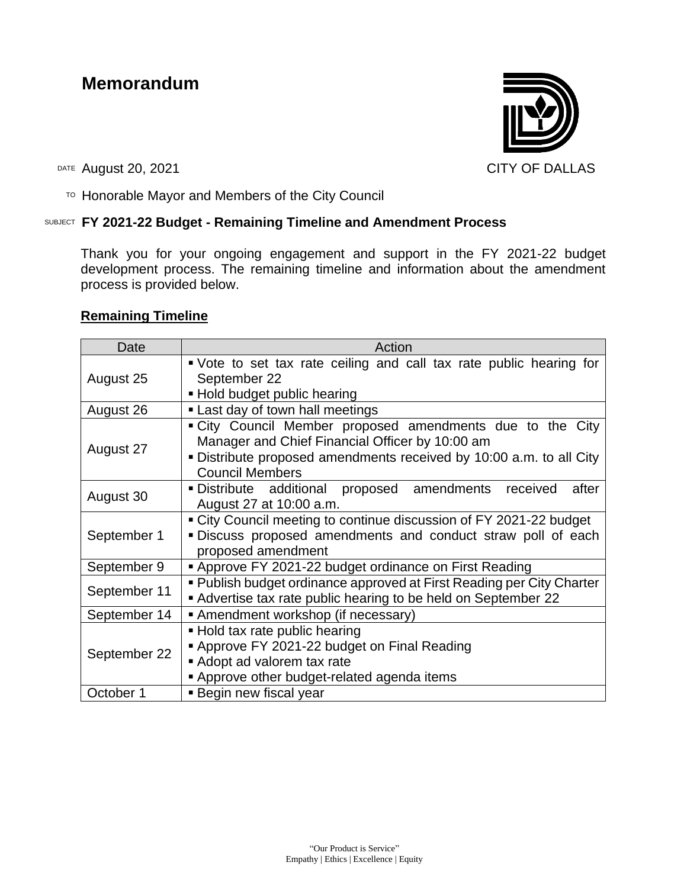# **Memorandum**



DATE August 20, 2021 CITY OF DALLAS

TO Honorable Mayor and Members of the City Council

## SUBJECT **FY 2021-22 Budget - Remaining Timeline and Amendment Process**

Thank you for your ongoing engagement and support in the FY 2021-22 budget development process. The remaining timeline and information about the amendment process is provided below.

## **Remaining Timeline**

| Date         | Action                                                                                                                                                                                                       |
|--------------|--------------------------------------------------------------------------------------------------------------------------------------------------------------------------------------------------------------|
| August 25    | • Vote to set tax rate ceiling and call tax rate public hearing for<br>September 22<br>- Hold budget public hearing                                                                                          |
| August 26    | • Last day of town hall meetings                                                                                                                                                                             |
| August 27    | "City Council Member proposed amendments due to the City<br>Manager and Chief Financial Officer by 10:00 am<br>• Distribute proposed amendments received by 10:00 a.m. to all City<br><b>Council Members</b> |
| August 30    | after<br>· Distribute additional proposed amendments<br>received<br>August 27 at 10:00 a.m.                                                                                                                  |
| September 1  | • City Council meeting to continue discussion of FY 2021-22 budget<br>. Discuss proposed amendments and conduct straw poll of each<br>proposed amendment                                                     |
| September 9  | ■ Approve FY 2021-22 budget ordinance on First Reading                                                                                                                                                       |
| September 11 | • Publish budget ordinance approved at First Reading per City Charter<br>Advertise tax rate public hearing to be held on September 22                                                                        |
| September 14 | Amendment workshop (if necessary)                                                                                                                                                                            |
| September 22 | - Hold tax rate public hearing<br>Approve FY 2021-22 budget on Final Reading<br>Adopt ad valorem tax rate<br>Approve other budget-related agenda items                                                       |
| October 1    | ■ Begin new fiscal year                                                                                                                                                                                      |